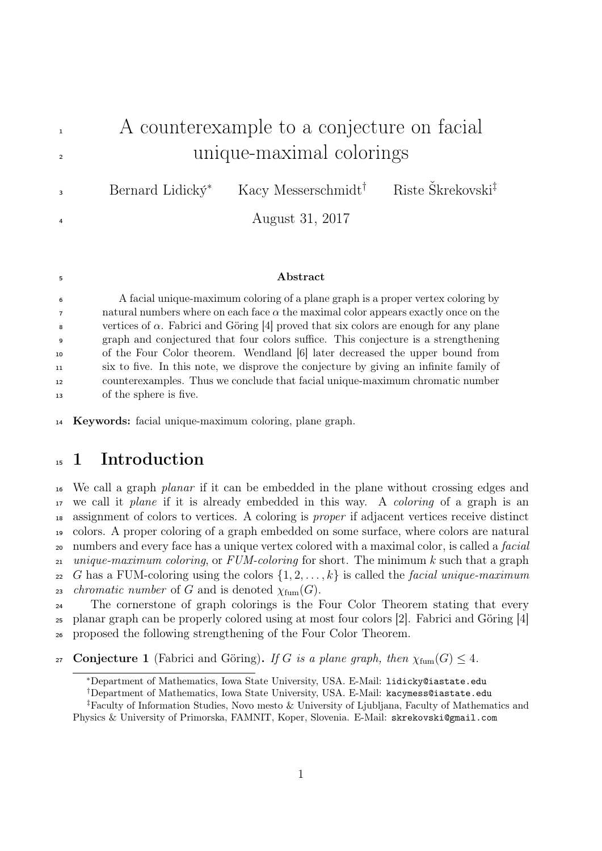## <sup>1</sup> A counterexample to a conjecture on facial <sup>2</sup> unique-maximal colorings Bernard Lidický<sup>∗</sup> Kacy Messerschmidt† Riste Škrekovski‡ 3 <sup>4</sup> August 31, 2017

## <sup>5</sup> Abstract

 A facial unique-maximum coloring of a plane graph is a proper vertex coloring by  $\tau$  natural numbers where on each face  $\alpha$  the maximal color appears exactly once on the s vertices of  $\alpha$ . Fabrici and Göring [4] proved that six colors are enough for any plane graph and conjectured that four colors suffice. This conjecture is a strengthening of the Four Color theorem. Wendland [6] later decreased the upper bound from six to five. In this note, we disprove the conjecture by giving an infinite family of counterexamples. Thus we conclude that facial unique-maximum chromatic number of the sphere is five.

## <sup>15</sup> 1 Introduction

<sup>16</sup> We call a graph *planar* if it can be embedded in the plane without crossing edges and 17 we call it *plane* if it is already embedded in this way. A *coloring* of a graph is an <sup>18</sup> assignment of colors to vertices. A coloring is proper if adjacent vertices receive distinct <sup>19</sup> colors. A proper coloring of a graph embedded on some surface, where colors are natural <sup>20</sup> numbers and every face has a unique vertex colored with a maximal color, is called a *facial* 21 unique-maximum coloring, or  $FUM$ -coloring for short. The minimum k such that a graph <sup>22</sup> G has a FUM-coloring using the colors  $\{1, 2, \ldots, k\}$  is called the *facial unique-maximum* 23 *chromatic number* of G and is denoted  $\chi_{\text{fum}}(G)$ . <sup>24</sup> The cornerstone of graph colorings is the Four Color Theorem stating that every

<sup>25</sup> planar graph can be properly colored using at most four colors [2]. Fabrici and Göring [4] <sup>26</sup> proposed the following strengthening of the Four Color Theorem.

27 Conjecture 1 (Fabrici and Göring). If G is a plane graph, then  $\chi_{\text{fum}}(G) \leq 4$ .

<sup>14</sup> Keywords: facial unique-maximum coloring, plane graph.

<sup>∗</sup>Department of Mathematics, Iowa State University, USA. E-Mail: lidicky@iastate.edu

<sup>†</sup>Department of Mathematics, Iowa State University, USA. E-Mail: kacymess@iastate.edu

<sup>‡</sup>Faculty of Information Studies, Novo mesto & University of Ljubljana, Faculty of Mathematics and Physics & University of Primorska, FAMNIT, Koper, Slovenia. E-Mail: skrekovski@gmail.com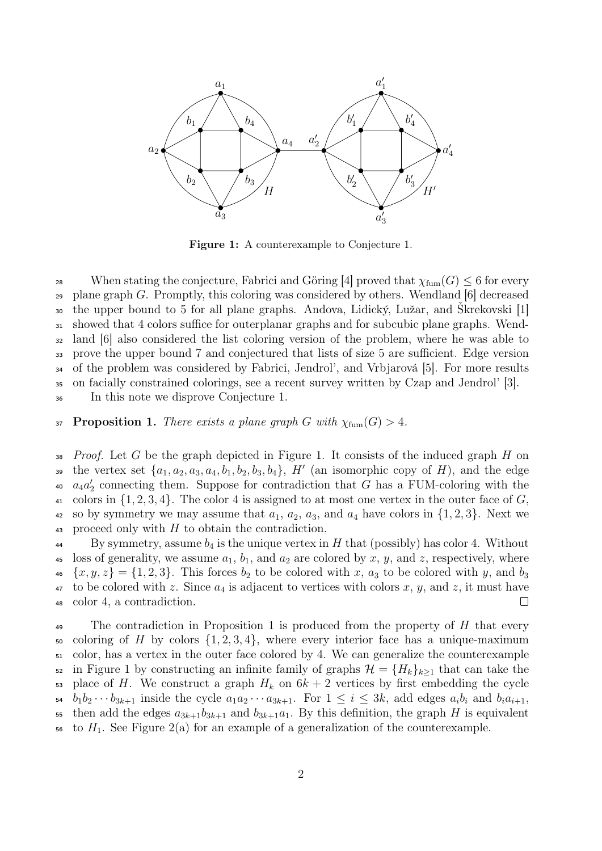

Figure 1: A counterexample to Conjecture 1.

<sup>28</sup> When stating the conjecture, Fabrici and Göring [4] proved that  $\chi_{\text{fum}}(G) \leq 6$  for every  $_{29}$  plane graph G. Promptly, this coloring was considered by others. Wendland [6] decreased the upper bound to 5 for all plane graphs. Andova, Lidický, Lužar, and Škrekovski [1] showed that 4 colors suffice for outerplanar graphs and for subcubic plane graphs. Wend- land [6] also considered the list coloring version of the problem, where he was able to prove the upper bound 7 and conjectured that lists of size 5 are sufficient. Edge version of the problem was considered by Fabrici, Jendrol', and Vrbjarová [5]. For more results on facially constrained colorings, see a recent survey written by Czap and Jendrol' [3]. In this note we disprove Conjecture 1.

37 **Proposition 1.** There exists a plane graph G with  $\chi_{\text{fum}}(G) > 4$ .

38 Proof. Let G be the graph depicted in Figure 1. It consists of the induced graph H on <sup>39</sup> the vertex set  $\{a_1, a_2, a_3, a_4, b_1, b_2, b_3, b_4\}$ ,  $H'$  (an isomorphic copy of H), and the edge <sup>40</sup>  $a_4 a_2'$  connecting them. Suppose for contradiction that G has a FUM-coloring with the 41 colors in  $\{1, 2, 3, 4\}$ . The color 4 is assigned to at most one vertex in the outer face of G, 42 so by symmetry we may assume that  $a_1, a_2, a_3$ , and  $a_4$  have colors in  $\{1, 2, 3\}$ . Next we 43 proceed only with  $H$  to obtain the contradiction.

 $^{44}$  By symmetry, assume  $b_4$  is the unique vertex in H that (possibly) has color 4. Without 45 loss of generality, we assume  $a_1$ ,  $b_1$ , and  $a_2$  are colored by x, y, and z, respectively, where  $\{x, y, z\} = \{1, 2, 3\}.$  This forces  $b_2$  to be colored with x,  $a_3$  to be colored with y, and  $b_3$  $47$  to be colored with z. Since  $a_4$  is adjacent to vertices with colors x, y, and z, it must have <sup>48</sup> color 4, a contradiction.  $\Box$ 

<sup>49</sup> The contradiction in Proposition 1 is produced from the property of  $H$  that every 50 coloring of H by colors  $\{1, 2, 3, 4\}$ , where every interior face has a unique-maximum <sup>51</sup> color, has a vertex in the outer face colored by 4. We can generalize the counterexample <sup>52</sup> in Figure 1 by constructing an infinite family of graphs  $\mathcal{H} = \{H_k\}_{k>1}$  that can take the 53 place of H. We construct a graph  $H_k$  on  $6k + 2$  vertices by first embedding the cycle 54  $b_1b_2\cdots b_{3k+1}$  inside the cycle  $a_1a_2\cdots a_{3k+1}$ . For  $1 \leq i \leq 3k$ , add edges  $a_ib_i$  and  $b_ia_{i+1}$ , 55 then add the edges  $a_{3k+1}b_{3k+1}$  and  $b_{3k+1}a_1$ . By this definition, the graph H is equivalent to  $H_1$ . See Figure 2(a) for an example of a generalization of the counterexample.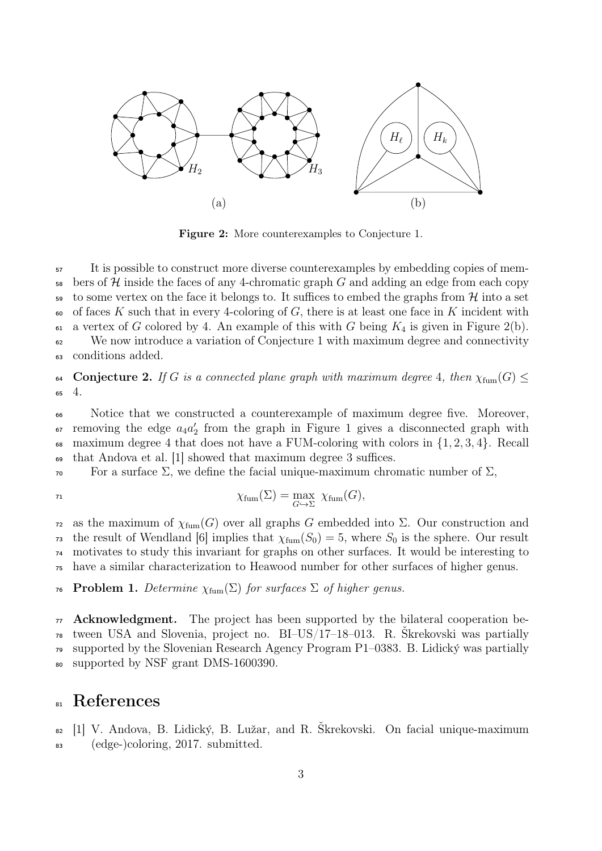

Figure 2: More counterexamples to Conjecture 1.

<sup>57</sup> It is possible to construct more diverse counterexamples by embedding copies of mem- $\frac{1}{58}$  bers of H inside the faces of any 4-chromatic graph G and adding an edge from each copy to some vertex on the face it belongs to. It suffices to embed the graphs from  $\mathcal{H}$  into a set 60 of faces K such that in every 4-coloring of  $G$ , there is at least one face in K incident with 61 a vertex of G colored by 4. An example of this with G being  $K_4$  is given in Figure 2(b). <sup>62</sup> We now introduce a variation of Conjecture 1 with maximum degree and connectivity <sup>63</sup> conditions added.

64 Conjecture 2. If G is a connected plane graph with maximum degree 4, then  $\chi_{\text{fum}}(G) \leq$ <sup>65</sup> 4.

<sup>66</sup> Notice that we constructed a counterexample of maximum degree five. Moreover,  $\epsilon$  removing the edge  $a_4 a_2'$  from the graph in Figure 1 gives a disconnected graph with 68 maximum degree 4 that does not have a FUM-coloring with colors in  $\{1, 2, 3, 4\}$ . Recall <sup>69</sup> that Andova et al. [1] showed that maximum degree 3 suffices.

 $\overline{\ }$  For a surface Σ, we define the facial unique-maximum chromatic number of Σ,

$$
^{71}
$$

$$
\chi_{\text{fum}}(\Sigma) = \max_{G \hookrightarrow \Sigma} \ \chi_{\text{fum}}(G),
$$

 as the maximum of  $\chi_{\text{fum}}(G)$  over all graphs G embedded into Σ. Our construction and <sup>73</sup> the result of Wendland [6] implies that  $\chi_{\text{fum}}(S_0) = 5$ , where  $S_0$  is the sphere. Our result motivates to study this invariant for graphs on other surfaces. It would be interesting to have a similar characterization to Heawood number for other surfaces of higher genus.

76 Problem 1. Determine  $\chi_{\text{fum}}(\Sigma)$  for surfaces  $\Sigma$  of higher genus.

 Acknowledgment. The project has been supported by the bilateral cooperation be- tween USA and Slovenia, project no. BI–US/17–18–013. R. Škrekovski was partially supported by the Slovenian Research Agency Program P1–0383. B. Lidický was partially supported by NSF grant DMS-1600390.

## 81 References

<sup>82</sup> [1] V. Andova, B. Lidický, B. Lužar, and R. Škrekovski. On facial unique-maximum <sup>83</sup> (edge-)coloring, 2017. submitted.